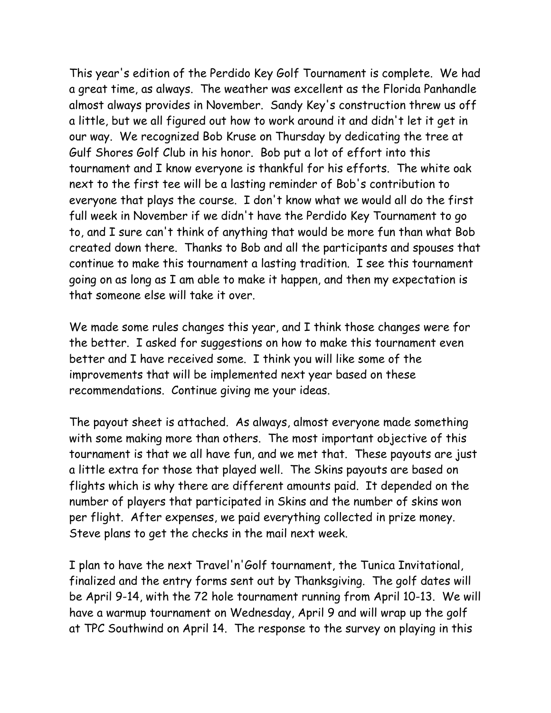This year's edition of the Perdido Key Golf Tournament is complete. We had a great time, as always. The weather was excellent as the Florida Panhandle almost always provides in November. Sandy Key's construction threw us off a little, but we all figured out how to work around it and didn't let it get in our way. We recognized Bob Kruse on Thursday by dedicating the tree at Gulf Shores Golf Club in his honor. Bob put a lot of effort into this tournament and I know everyone is thankful for his efforts. The white oak next to the first tee will be a lasting reminder of Bob's contribution to everyone that plays the course. I don't know what we would all do the first full week in November if we didn't have the Perdido Key Tournament to go to, and I sure can't think of anything that would be more fun than what Bob created down there. Thanks to Bob and all the participants and spouses that continue to make this tournament a lasting tradition. I see this tournament going on as long as I am able to make it happen, and then my expectation is that someone else will take it over.

We made some rules changes this year, and I think those changes were for the better. I asked for suggestions on how to make this tournament even better and I have received some. I think you will like some of the improvements that will be implemented next year based on these recommendations. Continue giving me your ideas.

The payout sheet is attached. As always, almost everyone made something with some making more than others. The most important objective of this tournament is that we all have fun, and we met that. These payouts are just a little extra for those that played well. The Skins payouts are based on flights which is why there are different amounts paid. It depended on the number of players that participated in Skins and the number of skins won per flight. After expenses, we paid everything collected in prize money. Steve plans to get the checks in the mail next week.

I plan to have the next Travel'n'Golf tournament, the Tunica Invitational, finalized and the entry forms sent out by Thanksgiving. The golf dates will be April 9-14, with the 72 hole tournament running from April 10-13. We will have a warmup tournament on Wednesday, April 9 and will wrap up the golf at TPC Southwind on April 14. The response to the survey on playing in this